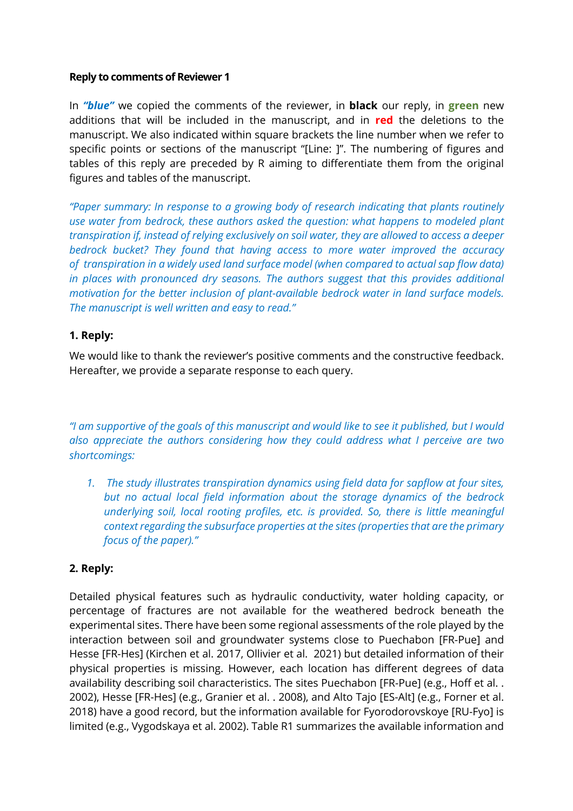#### **Reply to comments of Reviewer 1**

In *"blue"* we copied the comments of the reviewer, in **black** our reply, in **green** new additions that will be included in the manuscript, and in **red** the deletions to the manuscript. We also indicated within square brackets the line number when we refer to specific points or sections of the manuscript "[Line: ]". The numbering of figures and tables of this reply are preceded by R aiming to differentiate them from the original figures and tables of the manuscript.

*"Paper summary: In response to a growing body of research indicating that plants routinely use water from bedrock, these authors asked the question: what happens to modeled plant transpiration if, instead of relying exclusively on soil water, they are allowed to access a deeper bedrock bucket? They found that having access to more water improved the accuracy of transpiration in a widely used land surface model (when compared to actual sap flow data) in places with pronounced dry seasons. The authors suggest that this provides additional motivation for the better inclusion of plant-available bedrock water in land surface models. The manuscript is well written and easy to read."*

### **1. Reply:**

We would like to thank the reviewer's positive comments and the constructive feedback. Hereafter, we provide a separate response to each query.

*"I am supportive of the goals of this manuscript and would like to see it published, but I would also appreciate the authors considering how they could address what I perceive are two shortcomings:*

*1. The study illustrates transpiration dynamics using field data for sapflow at four sites, but no actual local field information about the storage dynamics of the bedrock underlying soil, local rooting profiles, etc. is provided. So, there is little meaningful context regarding the subsurface properties at the sites (properties that are the primary focus of the paper)."*

#### **2. Reply:**

Detailed physical features such as hydraulic conductivity, water holding capacity, or percentage of fractures are not available for the weathered bedrock beneath the experimental sites. There have been some regional assessments of the role played by the interaction between soil and groundwater systems close to Puechabon [FR-Pue] and Hesse [FR-Hes] (Kirchen et al. 2017, Ollivier et al. 2021) but detailed information of their physical properties is missing. However, each location has different degrees of data availability describing soil characteristics. The sites Puechabon [FR-Pue] (e.g., Hoff et al. . 2002), Hesse [FR-Hes] (e.g., Granier et al. . 2008), and Alto Tajo [ES-Alt] (e.g., Forner et al. 2018) have a good record, but the information available for Fyorodorovskoye [RU-Fyo] is limited (e.g., Vygodskaya et al. 2002). Table R1 summarizes the available information and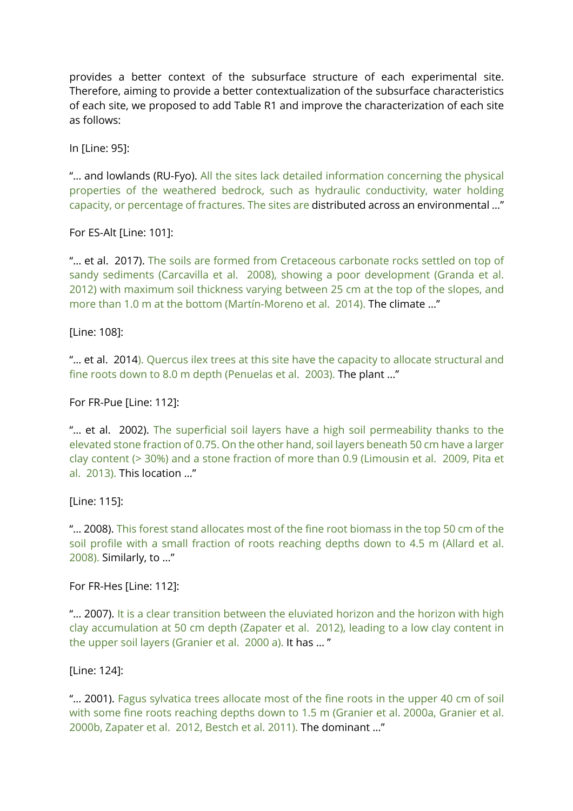provides a better context of the subsurface structure of each experimental site. Therefore, aiming to provide a better contextualization of the subsurface characteristics of each site, we proposed to add Table R1 and improve the characterization of each site as follows:

In [Line: 95]:

"… and lowlands (RU-Fyo). All the sites lack detailed information concerning the physical properties of the weathered bedrock, such as hydraulic conductivity, water holding capacity, or percentage of fractures. The sites are distributed across an environmental …"

For ES-Alt [Line: 101]:

"... et al. 2017). The soils are formed from Cretaceous carbonate rocks settled on top of sandy sediments (Carcavilla et al. 2008), showing a poor development (Granda et al. 2012) with maximum soil thickness varying between 25 cm at the top of the slopes, and more than 1.0 m at the bottom (Martín-Moreno et al. 2014). The climate …"

[Line: 108]:

"... et al. 2014). Quercus ilex trees at this site have the capacity to allocate structural and fine roots down to 8.0 m depth (Penuelas et al. 2003). The plant …"

For FR-Pue [Line: 112]:

"… et al. 2002). The superficial soil layers have a high soil permeability thanks to the elevated stone fraction of 0.75. On the other hand, soil layers beneath 50 cm have a larger clay content (> 30%) and a stone fraction of more than 0.9 (Limousin et al. 2009, Pita et al. 2013). This location …"

[Line: 115]:

"… 2008). This forest stand allocates most of the fine root biomass in the top 50 cm of the soil profile with a small fraction of roots reaching depths down to 4.5 m (Allard et al. 2008). Similarly, to …"

For FR-Hes [Line: 112]:

"... 2007). It is a clear transition between the eluviated horizon and the horizon with high clay accumulation at 50 cm depth (Zapater et al. 2012), leading to a low clay content in the upper soil layers (Granier et al. 2000 a). It has … "

[Line: 124]:

"… 2001). Fagus sylvatica trees allocate most of the fine roots in the upper 40 cm of soil with some fine roots reaching depths down to 1.5 m (Granier et al. 2000a, Granier et al. 2000b, Zapater et al. 2012, Bestch et al. 2011). The dominant …"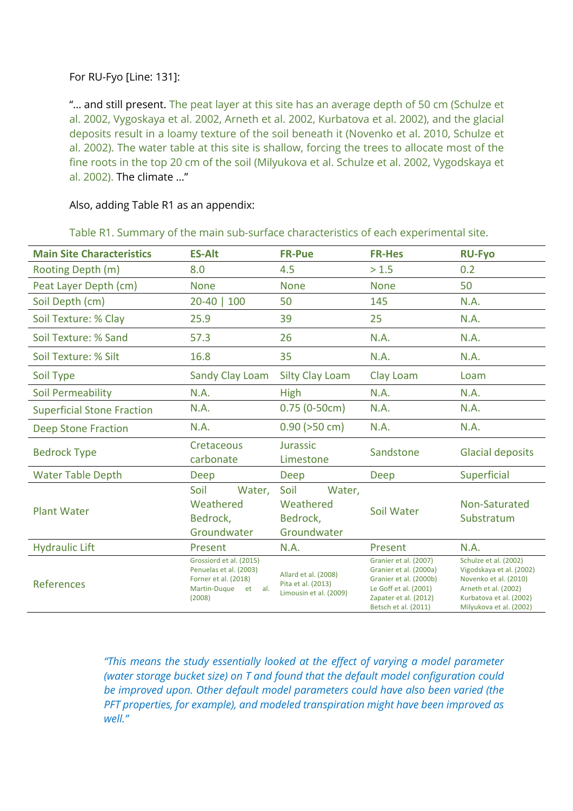# For RU-Fyo [Line: 131]:

"... and still present. The peat layer at this site has an average depth of 50 cm (Schulze et al. 2002, Vygoskaya et al. 2002, Arneth et al. 2002, Kurbatova et al. 2002), and the glacial deposits result in a loamy texture of the soil beneath it (Novenko et al. 2010, Schulze et al. 2002). The water table at this site is shallow, forcing the trees to allocate most of the fine roots in the top 20 cm of the soil (Milyukova et al. Schulze et al. 2002, Vygodskaya et al. 2002). The climate …"

#### Also, adding Table R1 as an appendix:

| <b>Main Site Characteristics</b>  | <b>ES-Alt</b>                                                                                                 | <b>FR-Pue</b>                                                        | <b>FR-Hes</b>                                                                                                                                       | <b>RU-Fyo</b>                                                                                                                                            |
|-----------------------------------|---------------------------------------------------------------------------------------------------------------|----------------------------------------------------------------------|-----------------------------------------------------------------------------------------------------------------------------------------------------|----------------------------------------------------------------------------------------------------------------------------------------------------------|
| Rooting Depth (m)                 | 8.0                                                                                                           | 4.5                                                                  | > 1.5                                                                                                                                               | 0.2                                                                                                                                                      |
| Peat Layer Depth (cm)             | <b>None</b>                                                                                                   | <b>None</b>                                                          | <b>None</b>                                                                                                                                         | 50                                                                                                                                                       |
| Soil Depth (cm)                   | $20 - 40$<br>100                                                                                              | 50                                                                   | 145                                                                                                                                                 | N.A.                                                                                                                                                     |
| Soil Texture: % Clay              | 25.9                                                                                                          | 39                                                                   | 25                                                                                                                                                  | N.A.                                                                                                                                                     |
| Soil Texture: % Sand              | 57.3                                                                                                          | 26                                                                   | N.A.                                                                                                                                                | N.A.                                                                                                                                                     |
| Soil Texture: % Silt              | 16.8                                                                                                          | 35                                                                   | N.A.                                                                                                                                                | N.A.                                                                                                                                                     |
| Soil Type                         | Sandy Clay Loam                                                                                               | <b>Silty Clay Loam</b>                                               | Clay Loam                                                                                                                                           | Loam                                                                                                                                                     |
| <b>Soil Permeability</b>          | N.A.                                                                                                          | <b>High</b>                                                          | N.A.                                                                                                                                                | N.A.                                                                                                                                                     |
| <b>Superficial Stone Fraction</b> | N.A.                                                                                                          | $0.75(0-50cm)$                                                       | N.A.                                                                                                                                                | N.A.                                                                                                                                                     |
| <b>Deep Stone Fraction</b>        | N.A.                                                                                                          | $0.90$ ( $>50$ cm)                                                   | N.A.                                                                                                                                                | N.A.                                                                                                                                                     |
| <b>Bedrock Type</b>               | Cretaceous                                                                                                    | Jurassic                                                             | Sandstone                                                                                                                                           | <b>Glacial deposits</b>                                                                                                                                  |
|                                   | carbonate                                                                                                     | Limestone                                                            |                                                                                                                                                     |                                                                                                                                                          |
| <b>Water Table Depth</b>          | Deep                                                                                                          | Deep                                                                 | Deep                                                                                                                                                | Superficial                                                                                                                                              |
| <b>Plant Water</b>                | Soil<br>Water,<br>Weathered<br>Bedrock,<br>Groundwater                                                        | Soil<br>Water,<br>Weathered<br>Bedrock,<br>Groundwater               | Soil Water                                                                                                                                          | Non-Saturated<br>Substratum                                                                                                                              |
| <b>Hydraulic Lift</b>             | Present                                                                                                       | N.A.                                                                 | Present                                                                                                                                             | N.A.                                                                                                                                                     |
| References                        | Grossiord et al. (2015)<br>Penuelas et al. (2003)<br>Forner et al. (2018)<br>Martin-Duque<br>et al.<br>(2008) | Allard et al. (2008)<br>Pita et al. (2013)<br>Limousin et al. (2009) | Granier et al. (2007)<br>Granier et al. (2000a)<br>Granier et al. (2000b)<br>Le Goff et al. (2001)<br>Zapater et al. (2012)<br>Betsch et al. (2011) | Schulze et al. (2002)<br>Vigodskaya et al. (2002)<br>Novenko et al. (2010)<br>Arneth et al. (2002)<br>Kurbatova et al. (2002)<br>Milyukova et al. (2002) |

Table R1. Summary of the main sub-surface characteristics of each experimental site.

*"This means the study essentially looked at the effect of varying a model parameter (water storage bucket size) on T and found that the default model configuration could be improved upon. Other default model parameters could have also been varied (the PFT properties, for example), and modeled transpiration might have been improved as well."*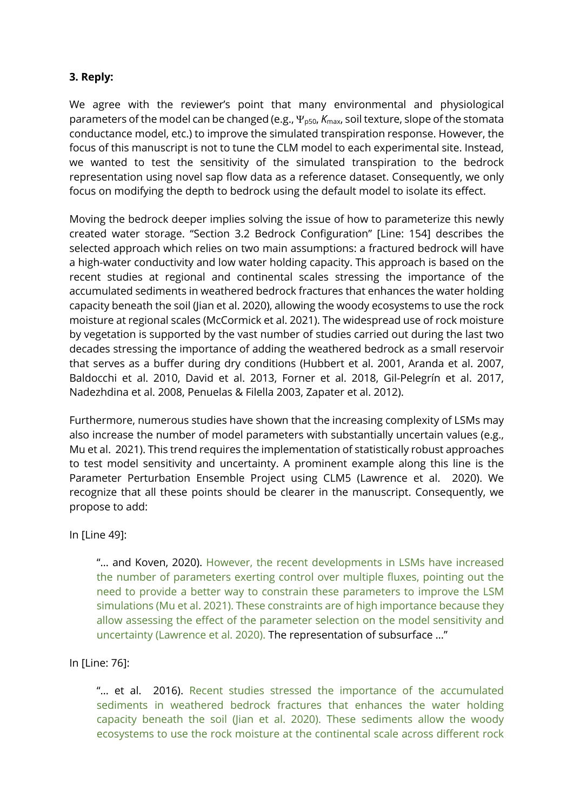# **3. Reply:**

We agree with the reviewer's point that many environmental and physiological parameters of the model can be changed (e.g.,  $\Psi_{p50}$ ,  $K_{\text{max}}$ , soil texture, slope of the stomata conductance model, etc.) to improve the simulated transpiration response. However, the focus of this manuscript is not to tune the CLM model to each experimental site. Instead, we wanted to test the sensitivity of the simulated transpiration to the bedrock representation using novel sap flow data as a reference dataset. Consequently, we only focus on modifying the depth to bedrock using the default model to isolate its effect.

Moving the bedrock deeper implies solving the issue of how to parameterize this newly created water storage. "Section 3.2 Bedrock Configuration" [Line: 154] describes the selected approach which relies on two main assumptions: a fractured bedrock will have a high-water conductivity and low water holding capacity. This approach is based on the recent studies at regional and continental scales stressing the importance of the accumulated sediments in weathered bedrock fractures that enhances the water holding capacity beneath the soil (Jian et al. 2020), allowing the woody ecosystems to use the rock moisture at regional scales (McCormick et al. 2021). The widespread use of rock moisture by vegetation is supported by the vast number of studies carried out during the last two decades stressing the importance of adding the weathered bedrock as a small reservoir that serves as a buffer during dry conditions (Hubbert et al. 2001, Aranda et al. 2007, Baldocchi et al. 2010, David et al. 2013, Forner et al. 2018, Gil-Pelegrín et al. 2017, Nadezhdina et al. 2008, Penuelas & Filella 2003, Zapater et al. 2012).

Furthermore, numerous studies have shown that the increasing complexity of LSMs may also increase the number of model parameters with substantially uncertain values (e.g., Mu et al. 2021). This trend requires the implementation of statistically robust approaches to test model sensitivity and uncertainty. A prominent example along this line is the Parameter Perturbation Ensemble Project using CLM5 (Lawrence et al. 2020). We recognize that all these points should be clearer in the manuscript. Consequently, we propose to add:

In [Line 49]:

"… and Koven, 2020). However, the recent developments in LSMs have increased the number of parameters exerting control over multiple fluxes, pointing out the need to provide a better way to constrain these parameters to improve the LSM simulations (Mu et al. 2021). These constraints are of high importance because they allow assessing the effect of the parameter selection on the model sensitivity and uncertainty (Lawrence et al. 2020). The representation of subsurface …"

### In [Line: 76]:

"… et al. 2016). Recent studies stressed the importance of the accumulated sediments in weathered bedrock fractures that enhances the water holding capacity beneath the soil (Jian et al. 2020). These sediments allow the woody ecosystems to use the rock moisture at the continental scale across different rock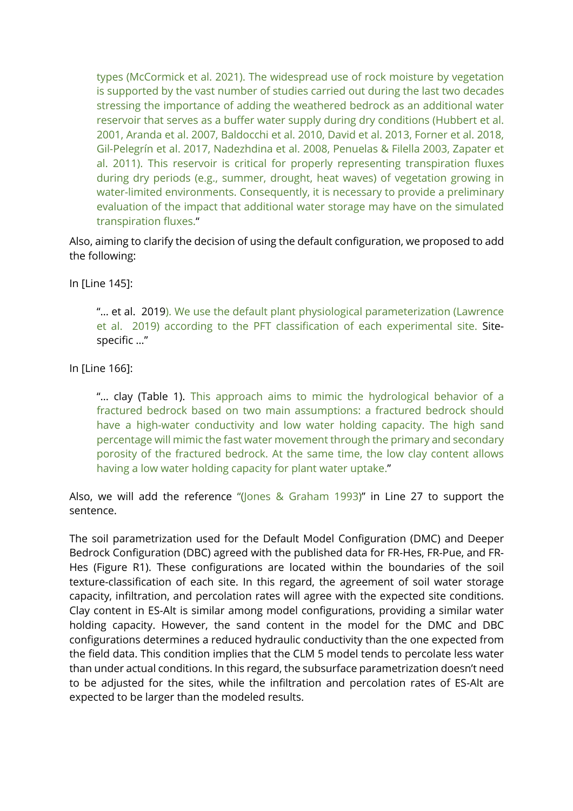types (McCormick et al. 2021). The widespread use of rock moisture by vegetation is supported by the vast number of studies carried out during the last two decades stressing the importance of adding the weathered bedrock as an additional water reservoir that serves as a buffer water supply during dry conditions (Hubbert et al. 2001, Aranda et al. 2007, Baldocchi et al. 2010, David et al. 2013, Forner et al. 2018, Gil-Pelegrín et al. 2017, Nadezhdina et al. 2008, Penuelas & Filella 2003, Zapater et al. 2011). This reservoir is critical for properly representing transpiration fluxes during dry periods (e.g., summer, drought, heat waves) of vegetation growing in water-limited environments. Consequently, it is necessary to provide a preliminary evaluation of the impact that additional water storage may have on the simulated transpiration fluxes."

Also, aiming to clarify the decision of using the default configuration, we proposed to add the following:

In [Line 145]:

"... et al. 2019). We use the default plant physiological parameterization (Lawrence et al. 2019) according to the PFT classification of each experimental site. Sitespecific …"

In [Line 166]:

"… clay (Table 1). This approach aims to mimic the hydrological behavior of a fractured bedrock based on two main assumptions: a fractured bedrock should have a high-water conductivity and low water holding capacity. The high sand percentage will mimic the fast water movement through the primary and secondary porosity of the fractured bedrock. At the same time, the low clay content allows having a low water holding capacity for plant water uptake."

Also, we will add the reference "(Jones & Graham 1993)" in Line 27 to support the sentence.

The soil parametrization used for the Default Model Configuration (DMC) and Deeper Bedrock Configuration (DBC) agreed with the published data for FR-Hes, FR-Pue, and FR-Hes (Figure R1). These configurations are located within the boundaries of the soil texture-classification of each site. In this regard, the agreement of soil water storage capacity, infiltration, and percolation rates will agree with the expected site conditions. Clay content in ES-Alt is similar among model configurations, providing a similar water holding capacity. However, the sand content in the model for the DMC and DBC configurations determines a reduced hydraulic conductivity than the one expected from the field data. This condition implies that the CLM 5 model tends to percolate less water than under actual conditions. In this regard, the subsurface parametrization doesn't need to be adjusted for the sites, while the infiltration and percolation rates of ES-Alt are expected to be larger than the modeled results.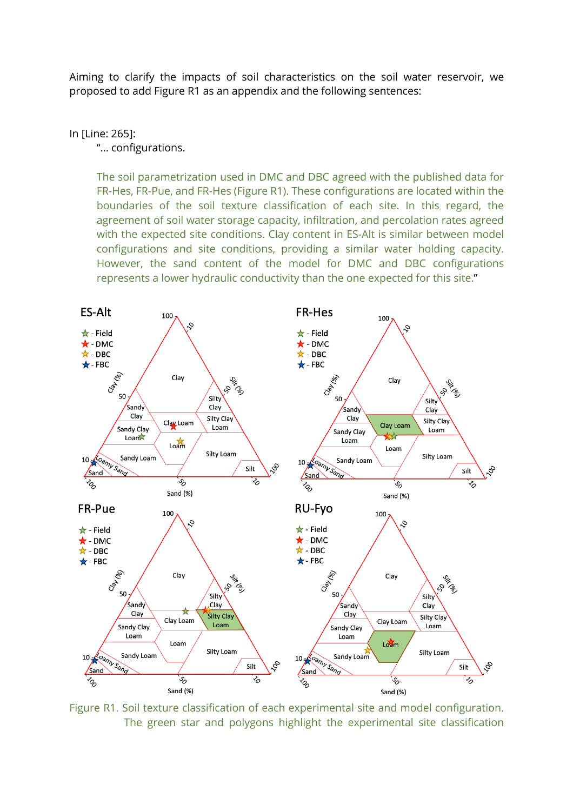Aiming to clarify the impacts of soil characteristics on the soil water reservoir, we proposed to add Figure R1 as an appendix and the following sentences:

In [Line: 265]:

"… configurations.

The soil parametrization used in DMC and DBC agreed with the published data for FR-Hes, FR-Pue, and FR-Hes (Figure R1). These configurations are located within the boundaries of the soil texture classification of each site. In this regard, the agreement of soil water storage capacity, infiltration, and percolation rates agreed with the expected site conditions. Clay content in ES-Alt is similar between model configurations and site conditions, providing a similar water holding capacity. However, the sand content of the model for DMC and DBC configurations represents a lower hydraulic conductivity than the one expected for this site."



Figure R1. Soil texture classification of each experimental site and model configuration. The green star and polygons highlight the experimental site classification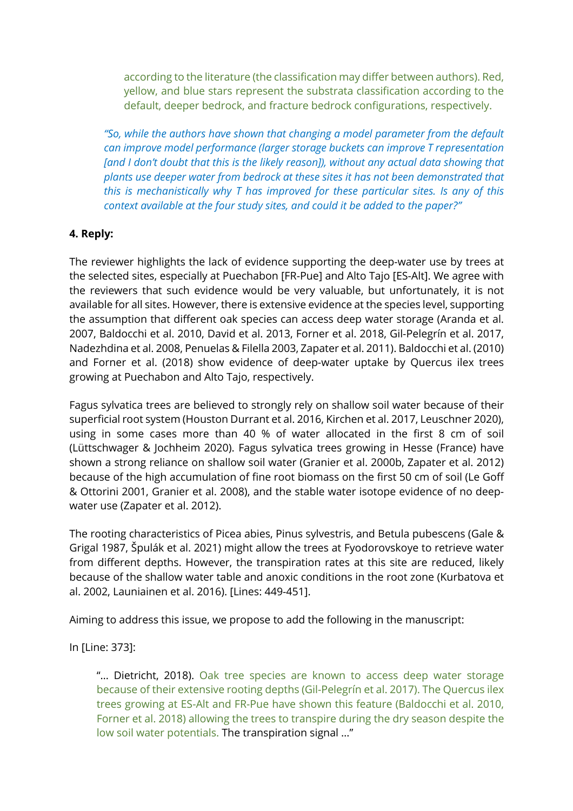according to the literature (the classification may differ between authors). Red, yellow, and blue stars represent the substrata classification according to the default, deeper bedrock, and fracture bedrock configurations, respectively.

*"So, while the authors have shown that changing a model parameter from the default can improve model performance (larger storage buckets can improve T representation [and I don't doubt that this is the likely reason]), without any actual data showing that plants use deeper water from bedrock at these sites it has not been demonstrated that this is mechanistically why T has improved for these particular sites. Is any of this context available at the four study sites, and could it be added to the paper?"*

### **4. Reply:**

The reviewer highlights the lack of evidence supporting the deep-water use by trees at the selected sites, especially at Puechabon [FR-Pue] and Alto Tajo [ES-Alt]. We agree with the reviewers that such evidence would be very valuable, but unfortunately, it is not available for all sites. However, there is extensive evidence at the species level, supporting the assumption that different oak species can access deep water storage (Aranda et al. 2007, Baldocchi et al. 2010, David et al. 2013, Forner et al. 2018, Gil-Pelegrín et al. 2017, Nadezhdina et al. 2008, Penuelas & Filella 2003, Zapater et al. 2011). Baldocchi et al. (2010) and Forner et al. (2018) show evidence of deep-water uptake by Quercus ilex trees growing at Puechabon and Alto Tajo, respectively.

Fagus sylvatica trees are believed to strongly rely on shallow soil water because of their superficial root system (Houston Durrant et al. 2016, Kirchen et al. 2017, Leuschner 2020), using in some cases more than 40 % of water allocated in the first 8 cm of soil (Lüttschwager & Jochheim 2020). Fagus sylvatica trees growing in Hesse (France) have shown a strong reliance on shallow soil water (Granier et al. 2000b, Zapater et al. 2012) because of the high accumulation of fine root biomass on the first 50 cm of soil (Le Goff & Ottorini 2001, Granier et al. 2008), and the stable water isotope evidence of no deepwater use (Zapater et al. 2012).

The rooting characteristics of Picea abies, Pinus sylvestris, and Betula pubescens (Gale & Grigal 1987, Špulák et al. 2021) might allow the trees at Fyodorovskoye to retrieve water from different depths. However, the transpiration rates at this site are reduced, likely because of the shallow water table and anoxic conditions in the root zone (Kurbatova et al. 2002, Launiainen et al. 2016). [Lines: 449-451].

Aiming to address this issue, we propose to add the following in the manuscript:

In [Line: 373]:

"... Dietricht, 2018). Oak tree species are known to access deep water storage because of their extensive rooting depths (Gil-Pelegrín et al. 2017). The Quercus ilex trees growing at ES-Alt and FR-Pue have shown this feature (Baldocchi et al. 2010, Forner et al. 2018) allowing the trees to transpire during the dry season despite the low soil water potentials. The transpiration signal …"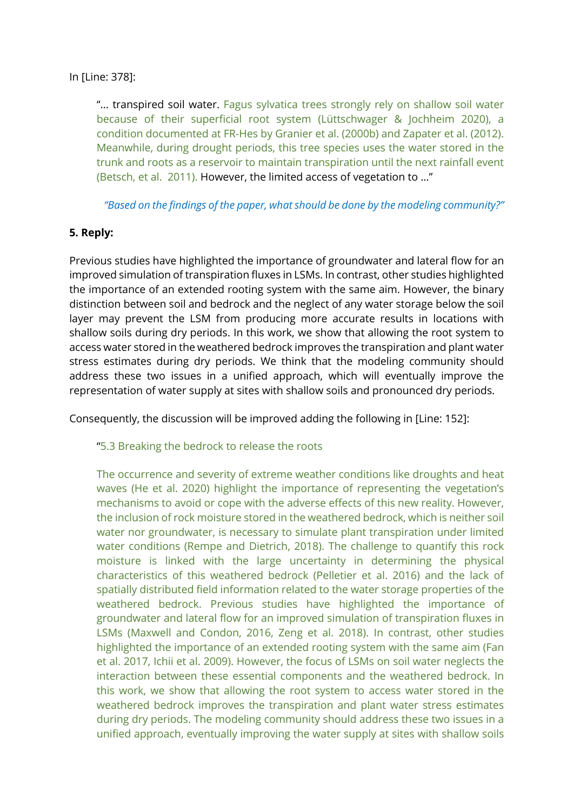### In [Line: 378]:

"… transpired soil water. Fagus sylvatica trees strongly rely on shallow soil water because of their superficial root system (Lüttschwager & Jochheim 2020), a condition documented at FR-Hes by Granier et al. (2000b) and Zapater et al. (2012). Meanwhile, during drought periods, this tree species uses the water stored in the trunk and roots as a reservoir to maintain transpiration until the next rainfall event (Betsch, et al. 2011). However, the limited access of vegetation to …"

*"Based on the findings of the paper, what should be done by the modeling community?"*

### **5. Reply:**

Previous studies have highlighted the importance of groundwater and lateral flow for an improved simulation of transpiration fluxes in LSMs. In contrast, other studies highlighted the importance of an extended rooting system with the same aim. However, the binary distinction between soil and bedrock and the neglect of any water storage below the soil layer may prevent the LSM from producing more accurate results in locations with shallow soils during dry periods. In this work, we show that allowing the root system to access water stored in the weathered bedrock improves the transpiration and plant water stress estimates during dry periods. We think that the modeling community should address these two issues in a unified approach, which will eventually improve the representation of water supply at sites with shallow soils and pronounced dry periods.

Consequently, the discussion will be improved adding the following in [Line: 152]:

### "5.3 Breaking the bedrock to release the roots

The occurrence and severity of extreme weather conditions like droughts and heat waves (He et al. 2020) highlight the importance of representing the vegetation's mechanisms to avoid or cope with the adverse effects of this new reality. However, the inclusion of rock moisture stored in the weathered bedrock, which is neither soil water nor groundwater, is necessary to simulate plant transpiration under limited water conditions (Rempe and Dietrich, 2018). The challenge to quantify this rock moisture is linked with the large uncertainty in determining the physical characteristics of this weathered bedrock (Pelletier et al. 2016) and the lack of spatially distributed field information related to the water storage properties of the weathered bedrock. Previous studies have highlighted the importance of groundwater and lateral flow for an improved simulation of transpiration fluxes in LSMs (Maxwell and Condon, 2016, Zeng et al. 2018). In contrast, other studies highlighted the importance of an extended rooting system with the same aim (Fan et al. 2017, Ichii et al. 2009). However, the focus of LSMs on soil water neglects the interaction between these essential components and the weathered bedrock. In this work, we show that allowing the root system to access water stored in the weathered bedrock improves the transpiration and plant water stress estimates during dry periods. The modeling community should address these two issues in a unified approach, eventually improving the water supply at sites with shallow soils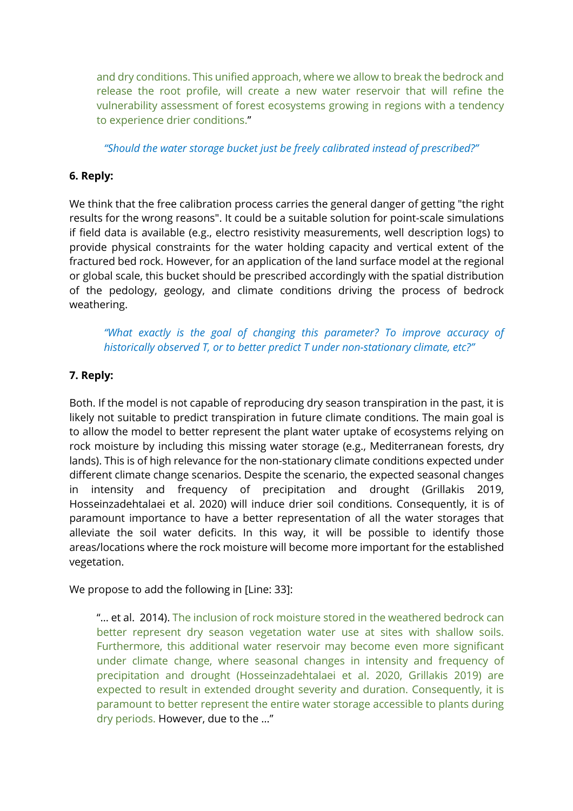and dry conditions. This unified approach, where we allow to break the bedrock and release the root profile, will create a new water reservoir that will refine the vulnerability assessment of forest ecosystems growing in regions with a tendency to experience drier conditions."

## *"Should the water storage bucket just be freely calibrated instead of prescribed?"*

# **6. Reply:**

We think that the free calibration process carries the general danger of getting "the right results for the wrong reasons". It could be a suitable solution for point-scale simulations if field data is available (e.g., electro resistivity measurements, well description logs) to provide physical constraints for the water holding capacity and vertical extent of the fractured bed rock. However, for an application of the land surface model at the regional or global scale, this bucket should be prescribed accordingly with the spatial distribution of the pedology, geology, and climate conditions driving the process of bedrock weathering.

*"What exactly is the goal of changing this parameter? To improve accuracy of historically observed T, or to better predict T under non-stationary climate, etc?"*

## **7. Reply:**

Both. If the model is not capable of reproducing dry season transpiration in the past, it is likely not suitable to predict transpiration in future climate conditions. The main goal is to allow the model to better represent the plant water uptake of ecosystems relying on rock moisture by including this missing water storage (e.g., Mediterranean forests, dry lands). This is of high relevance for the non-stationary climate conditions expected under different climate change scenarios. Despite the scenario, the expected seasonal changes in intensity and frequency of precipitation and drought (Grillakis 2019, Hosseinzadehtalaei et al. 2020) will induce drier soil conditions. Consequently, it is of paramount importance to have a better representation of all the water storages that alleviate the soil water deficits. In this way, it will be possible to identify those areas/locations where the rock moisture will become more important for the established vegetation.

We propose to add the following in [Line: 33]:

"… et al. 2014). The inclusion of rock moisture stored in the weathered bedrock can better represent dry season vegetation water use at sites with shallow soils. Furthermore, this additional water reservoir may become even more significant under climate change, where seasonal changes in intensity and frequency of precipitation and drought (Hosseinzadehtalaei et al. 2020, Grillakis 2019) are expected to result in extended drought severity and duration. Consequently, it is paramount to better represent the entire water storage accessible to plants during dry periods. However, due to the …"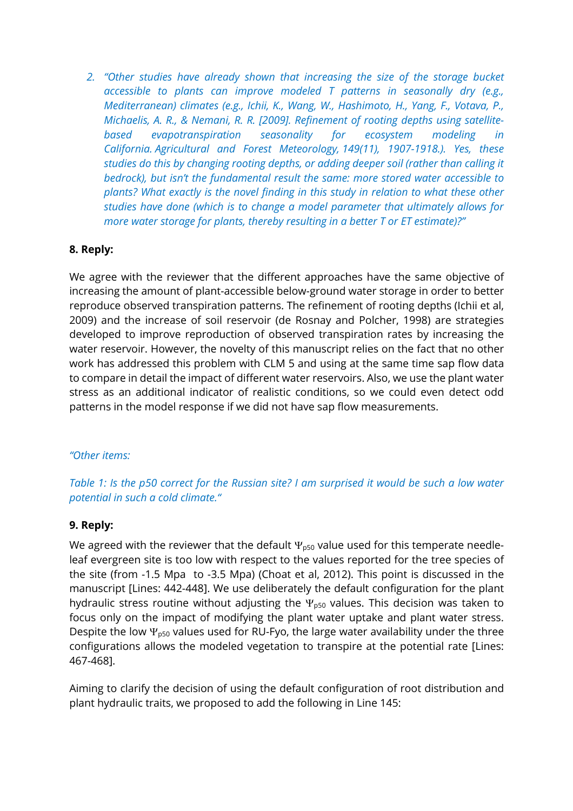*2. "Other studies have already shown that increasing the size of the storage bucket accessible to plants can improve modeled T patterns in seasonally dry (e.g., Mediterranean) climates (e.g., Ichii, K., Wang, W., Hashimoto, H., Yang, F., Votava, P., Michaelis, A. R., & Nemani, R. R. [2009]. Refinement of rooting depths using satellitebased evapotranspiration seasonality for ecosystem modeling in California. Agricultural and Forest Meteorology, 149(11), 1907-1918.). Yes, these studies do this by changing rooting depths, or adding deeper soil (rather than calling it bedrock), but isn't the fundamental result the same: more stored water accessible to plants? What exactly is the novel finding in this study in relation to what these other studies have done (which is to change a model parameter that ultimately allows for more water storage for plants, thereby resulting in a better T or ET estimate)?"*

## **8. Reply:**

We agree with the reviewer that the different approaches have the same objective of increasing the amount of plant-accessible below-ground water storage in order to better reproduce observed transpiration patterns. The refinement of rooting depths (Ichii et al, 2009) and the increase of soil reservoir (de Rosnay and Polcher, 1998) are strategies developed to improve reproduction of observed transpiration rates by increasing the water reservoir. However, the novelty of this manuscript relies on the fact that no other work has addressed this problem with CLM 5 and using at the same time sap flow data to compare in detail the impact of different water reservoirs. Also, we use the plant water stress as an additional indicator of realistic conditions, so we could even detect odd patterns in the model response if we did not have sap flow measurements.

### *"Other items:*

# *Table 1: Is the p50 correct for the Russian site? I am surprised it would be such a low water potential in such a cold climate."*

### **9. Reply:**

We agreed with the reviewer that the default  $\Psi_{p50}$  value used for this temperate needleleaf evergreen site is too low with respect to the values reported for the tree species of the site (from -1.5 Mpa to -3.5 Mpa) (Choat et al, 2012). This point is discussed in the manuscript [Lines: 442-448]. We use deliberately the default configuration for the plant hydraulic stress routine without adjusting the  $\Psi_{p50}$  values. This decision was taken to focus only on the impact of modifying the plant water uptake and plant water stress. Despite the low  $\Psi_{\text{D50}}$  values used for RU-Fyo, the large water availability under the three configurations allows the modeled vegetation to transpire at the potential rate [Lines: 467-468].

Aiming to clarify the decision of using the default configuration of root distribution and plant hydraulic traits, we proposed to add the following in Line 145: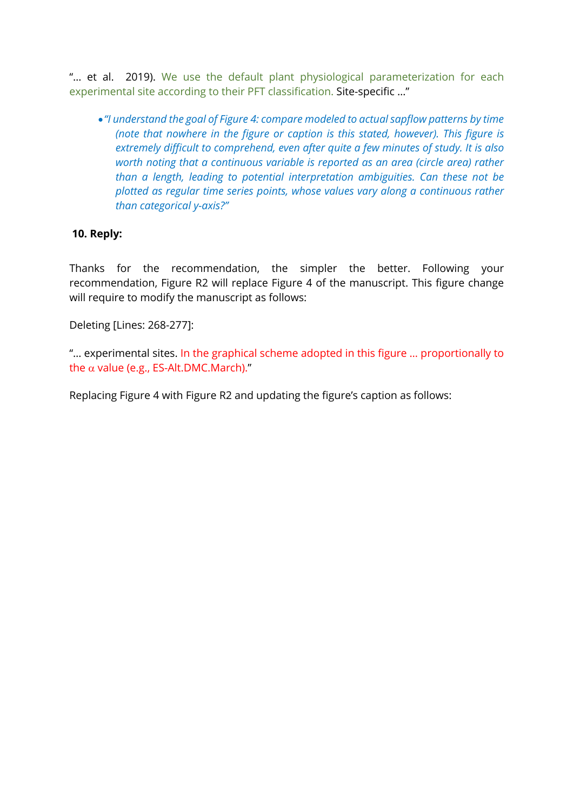"... et al. 2019). We use the default plant physiological parameterization for each experimental site according to their PFT classification. Site-specific …"

•*"I understand the goal of Figure 4: compare modeled to actual sapflow patterns by time (note that nowhere in the figure or caption is this stated, however). This figure is extremely difficult to comprehend, even after quite a few minutes of study. It is also worth noting that a continuous variable is reported as an area (circle area) rather than a length, leading to potential interpretation ambiguities. Can these not be plotted as regular time series points, whose values vary along a continuous rather than categorical y-axis?"*

### **10. Reply:**

Thanks for the recommendation, the simpler the better. Following your recommendation, Figure R2 will replace Figure 4 of the manuscript. This figure change will require to modify the manuscript as follows:

Deleting [Lines: 268-277]:

"… experimental sites. In the graphical scheme adopted in this figure … proportionally to the  $\alpha$  value (e.g., ES-Alt.DMC.March)."

Replacing Figure 4 with Figure R2 and updating the figure's caption as follows: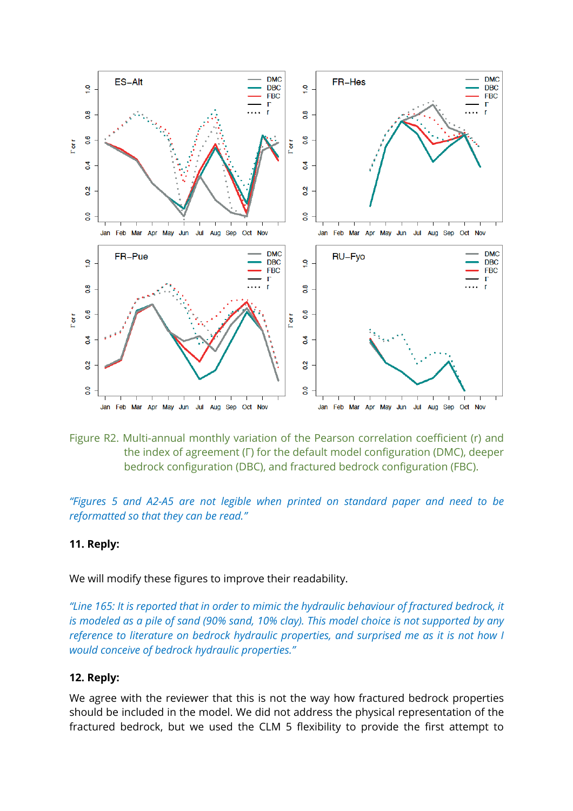

Figure R2. Multi-annual monthly variation of the Pearson correlation coefficient (r) and the index of agreement (Γ) for the default model configuration (DMC), deeper bedrock configuration (DBC), and fractured bedrock configuration (FBC).

*"Figures 5 and A2-A5 are not legible when printed on standard paper and need to be reformatted so that they can be read."*

#### **11. Reply:**

We will modify these figures to improve their readability.

*"Line 165: It is reported that in order to mimic the hydraulic behaviour of fractured bedrock, it is modeled as a pile of sand (90% sand, 10% clay). This model choice is not supported by any reference to literature on bedrock hydraulic properties, and surprised me as it is not how I would conceive of bedrock hydraulic properties."*

#### **12. Reply:**

We agree with the reviewer that this is not the way how fractured bedrock properties should be included in the model. We did not address the physical representation of the fractured bedrock, but we used the CLM 5 flexibility to provide the first attempt to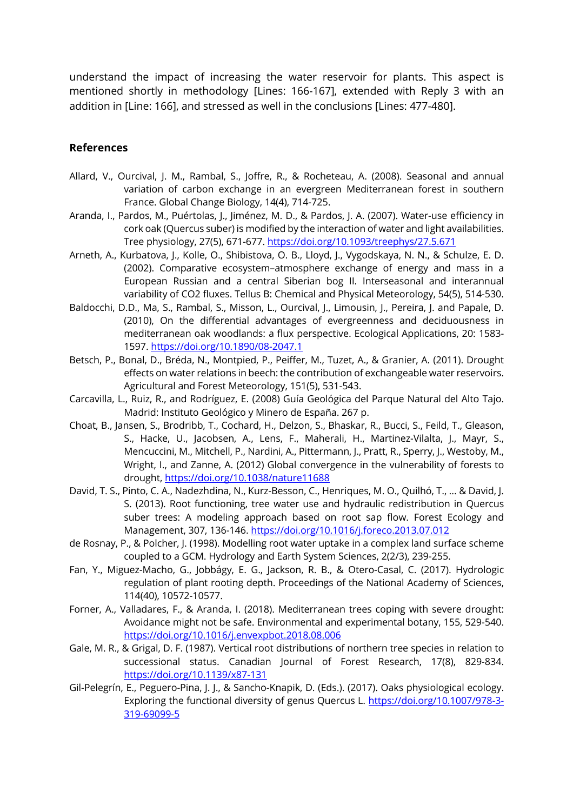understand the impact of increasing the water reservoir for plants. This aspect is mentioned shortly in methodology [Lines: 166-167], extended with Reply 3 with an addition in [Line: 166], and stressed as well in the conclusions [Lines: 477-480].

#### **References**

- Allard, V., Ourcival, J. M., Rambal, S., Joffre, R., & Rocheteau, A. (2008). Seasonal and annual variation of carbon exchange in an evergreen Mediterranean forest in southern France. Global Change Biology, 14(4), 714-725.
- Aranda, I., Pardos, M., Puértolas, J., Jiménez, M. D., & Pardos, J. A. (2007). Water-use efficiency in cork oak (Quercus suber) is modified by the interaction of water and light availabilities. Tree physiology, 27(5), 671-677. https://doi.org/10.1093/treephys/27.5.671
- Arneth, A., Kurbatova, J., Kolle, O., Shibistova, O. B., Lloyd, J., Vygodskaya, N. N., & Schulze, E. D. (2002). Comparative ecosystem–atmosphere exchange of energy and mass in a European Russian and a central Siberian bog II. Interseasonal and interannual variability of CO2 fluxes. Tellus B: Chemical and Physical Meteorology, 54(5), 514-530.
- Baldocchi, D.D., Ma, S., Rambal, S., Misson, L., Ourcival, J., Limousin, J., Pereira, J. and Papale, D. (2010), On the differential advantages of evergreenness and deciduousness in mediterranean oak woodlands: a flux perspective. Ecological Applications, 20: 1583- 1597. https://doi.org/10.1890/08-2047.1
- Betsch, P., Bonal, D., Bréda, N., Montpied, P., Peiffer, M., Tuzet, A., & Granier, A. (2011). Drought effects on water relations in beech: the contribution of exchangeable water reservoirs. Agricultural and Forest Meteorology, 151(5), 531-543.
- Carcavilla, L., Ruiz, R., and Rodríguez, E. (2008) Guía Geológica del Parque Natural del Alto Tajo. Madrid: Instituto Geológico y Minero de España. 267 p.
- Choat, B., Jansen, S., Brodribb, T., Cochard, H., Delzon, S., Bhaskar, R., Bucci, S., Feild, T., Gleason, S., Hacke, U., Jacobsen, A., Lens, F., Maherali, H., Martinez-Vilalta, J., Mayr, S., Mencuccini, M., Mitchell, P., Nardini, A., Pittermann, J., Pratt, R., Sperry, J., Westoby, M., Wright, I., and Zanne, A. (2012) Global convergence in the vulnerability of forests to drought, https://doi.org/10.1038/nature11688
- David, T. S., Pinto, C. A., Nadezhdina, N., Kurz-Besson, C., Henriques, M. O., Quilhó, T., ... & David, J. S. (2013). Root functioning, tree water use and hydraulic redistribution in Quercus suber trees: A modeling approach based on root sap flow. Forest Ecology and Management, 307, 136-146. https://doi.org/10.1016/j.foreco.2013.07.012
- de Rosnay, P., & Polcher, J. (1998). Modelling root water uptake in a complex land surface scheme coupled to a GCM. Hydrology and Earth System Sciences, 2(2/3), 239-255.
- Fan, Y., Miguez-Macho, G., Jobbágy, E. G., Jackson, R. B., & Otero-Casal, C. (2017). Hydrologic regulation of plant rooting depth. Proceedings of the National Academy of Sciences, 114(40), 10572-10577.
- Forner, A., Valladares, F., & Aranda, I. (2018). Mediterranean trees coping with severe drought: Avoidance might not be safe. Environmental and experimental botany, 155, 529-540. https://doi.org/10.1016/j.envexpbot.2018.08.006
- Gale, M. R., & Grigal, D. F. (1987). Vertical root distributions of northern tree species in relation to successional status. Canadian Journal of Forest Research, 17(8), 829-834. https://doi.org/10.1139/x87-131
- Gil-Pelegrín, E., Peguero-Pina, J. J., & Sancho-Knapik, D. (Eds.). (2017). Oaks physiological ecology. Exploring the functional diversity of genus Quercus L. https://doi.org/10.1007/978-3-319-69099-5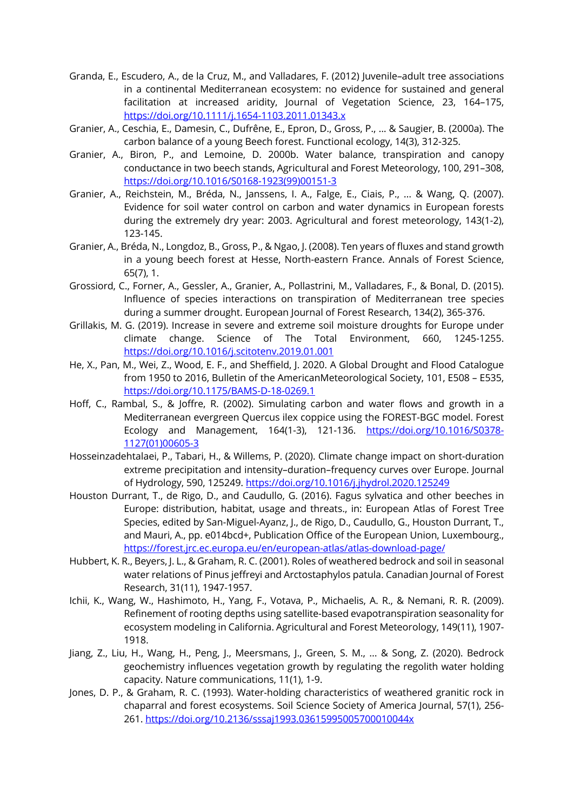- Granda, E., Escudero, A., de la Cruz, M., and Valladares, F. (2012) Juvenile–adult tree associations in a continental Mediterranean ecosystem: no evidence for sustained and general facilitation at increased aridity, Journal of Vegetation Science, 23, 164–175, https://doi.org/10.1111/j.1654-1103.2011.01343.x
- Granier, A., Ceschia, E., Damesin, C., Dufrêne, E., Epron, D., Gross, P., ... & Saugier, B. (2000a). The carbon balance of a young Beech forest. Functional ecology, 14(3), 312-325.
- Granier, A., Biron, P., and Lemoine, D. 2000b. Water balance, transpiration and canopy conductance in two beech stands, Agricultural and Forest Meteorology, 100, 291–308, https://doi.org/10.1016/S0168-1923(99)00151-3
- Granier, A., Reichstein, M., Bréda, N., Janssens, I. A., Falge, E., Ciais, P., ... & Wang, Q. (2007). Evidence for soil water control on carbon and water dynamics in European forests during the extremely dry year: 2003. Agricultural and forest meteorology, 143(1-2), 123-145.
- Granier, A., Bréda, N., Longdoz, B., Gross, P., & Ngao, J. (2008). Ten years of fluxes and stand growth in a young beech forest at Hesse, North-eastern France. Annals of Forest Science, 65(7), 1.
- Grossiord, C., Forner, A., Gessler, A., Granier, A., Pollastrini, M., Valladares, F., & Bonal, D. (2015). Influence of species interactions on transpiration of Mediterranean tree species during a summer drought. European Journal of Forest Research, 134(2), 365-376.
- Grillakis, M. G. (2019). Increase in severe and extreme soil moisture droughts for Europe under climate change. Science of The Total Environment, 660, 1245-1255. https://doi.org/10.1016/j.scitotenv.2019.01.001
- He, X., Pan, M., Wei, Z., Wood, E. F., and Sheffield, J. 2020. A Global Drought and Flood Catalogue from 1950 to 2016, Bulletin of the AmericanMeteorological Society, 101, E508 – E535, https://doi.org/10.1175/BAMS-D-18-0269.1
- Hoff, C., Rambal, S., & Joffre, R. (2002). Simulating carbon and water flows and growth in a Mediterranean evergreen Quercus ilex coppice using the FOREST-BGC model. Forest Ecology and Management, 164(1-3), 121-136. https://doi.org/10.1016/S0378-1127(01)00605-3
- Hosseinzadehtalaei, P., Tabari, H., & Willems, P. (2020). Climate change impact on short-duration extreme precipitation and intensity–duration–frequency curves over Europe. Journal of Hydrology, 590, 125249. https://doi.org/10.1016/j.jhydrol.2020.125249
- Houston Durrant, T., de Rigo, D., and Caudullo, G. (2016). Fagus sylvatica and other beeches in Europe: distribution, habitat, usage and threats., in: European Atlas of Forest Tree Species, edited by San-Miguel-Ayanz, J., de Rigo, D., Caudullo, G., Houston Durrant, T., and Mauri, A., pp. e014bcd+, Publication Office of the European Union, Luxembourg., https://forest.jrc.ec.europa.eu/en/european-atlas/atlas-download-page/
- Hubbert, K. R., Beyers, J. L., & Graham, R. C. (2001). Roles of weathered bedrock and soil in seasonal water relations of Pinus jeffreyi and Arctostaphylos patula. Canadian Journal of Forest Research, 31(11), 1947-1957.
- Ichii, K., Wang, W., Hashimoto, H., Yang, F., Votava, P., Michaelis, A. R., & Nemani, R. R. (2009). Refinement of rooting depths using satellite-based evapotranspiration seasonality for ecosystem modeling in California. Agricultural and Forest Meteorology, 149(11), 1907- 1918.
- Jiang, Z., Liu, H., Wang, H., Peng, J., Meersmans, J., Green, S. M., ... & Song, Z. (2020). Bedrock geochemistry influences vegetation growth by regulating the regolith water holding capacity. Nature communications, 11(1), 1-9.
- Jones, D. P., & Graham, R. C. (1993). Water-holding characteristics of weathered granitic rock in chaparral and forest ecosystems. Soil Science Society of America Journal, 57(1), 256- 261. https://doi.org/10.2136/sssaj1993.03615995005700010044x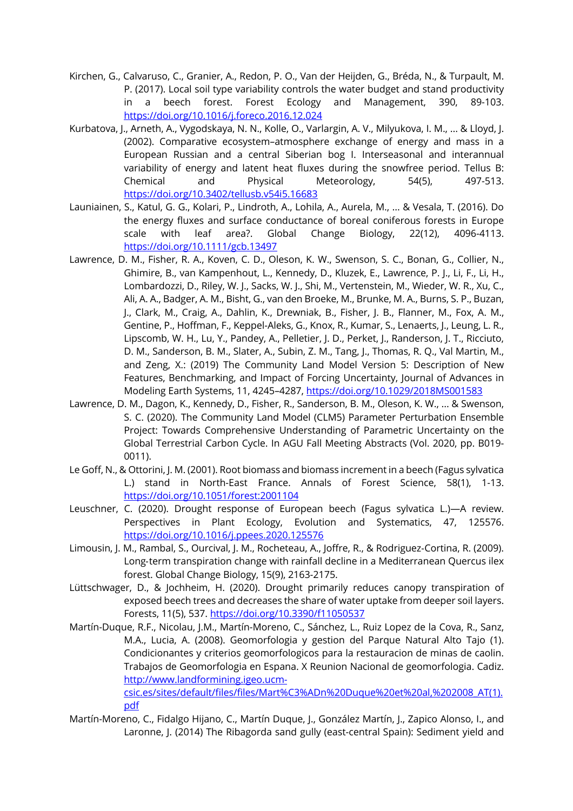- Kirchen, G., Calvaruso, C., Granier, A., Redon, P. O., Van der Heijden, G., Bréda, N., & Turpault, M. P. (2017). Local soil type variability controls the water budget and stand productivity in a beech forest. Forest Ecology and Management, 390, 89-103. https://doi.org/10.1016/j.foreco.2016.12.024
- Kurbatova, J., Arneth, A., Vygodskaya, N. N., Kolle, O., Varlargin, A. V., Milyukova, I. M., ... & Lloyd, J. (2002). Comparative ecosystem–atmosphere exchange of energy and mass in a European Russian and a central Siberian bog I. Interseasonal and interannual variability of energy and latent heat fluxes during the snowfree period. Tellus B: Chemical and Physical Meteorology, 54(5), 497-513. https://doi.org/10.3402/tellusb.v54i5.16683
- Launiainen, S., Katul, G. G., Kolari, P., Lindroth, A., Lohila, A., Aurela, M., ... & Vesala, T. (2016). Do the energy fluxes and surface conductance of boreal coniferous forests in Europe scale with leaf area?. Global Change Biology, 22(12), 4096-4113. https://doi.org/10.1111/gcb.13497
- Lawrence, D. M., Fisher, R. A., Koven, C. D., Oleson, K. W., Swenson, S. C., Bonan, G., Collier, N., Ghimire, B., van Kampenhout, L., Kennedy, D., Kluzek, E., Lawrence, P. J., Li, F., Li, H., Lombardozzi, D., Riley, W. J., Sacks, W. J., Shi, M., Vertenstein, M., Wieder, W. R., Xu, C., Ali, A. A., Badger, A. M., Bisht, G., van den Broeke, M., Brunke, M. A., Burns, S. P., Buzan, J., Clark, M., Craig, A., Dahlin, K., Drewniak, B., Fisher, J. B., Flanner, M., Fox, A. M., Gentine, P., Hoffman, F., Keppel-Aleks, G., Knox, R., Kumar, S., Lenaerts, J., Leung, L. R., Lipscomb, W. H., Lu, Y., Pandey, A., Pelletier, J. D., Perket, J., Randerson, J. T., Ricciuto, D. M., Sanderson, B. M., Slater, A., Subin, Z. M., Tang, J., Thomas, R. Q., Val Martin, M., and Zeng, X.: (2019) The Community Land Model Version 5: Description of New Features, Benchmarking, and Impact of Forcing Uncertainty, Journal of Advances in Modeling Earth Systems, 11, 4245–4287, https://doi.org/10.1029/2018MS001583
- Lawrence, D. M., Dagon, K., Kennedy, D., Fisher, R., Sanderson, B. M., Oleson, K. W., ... & Swenson, S. C. (2020). The Community Land Model (CLM5) Parameter Perturbation Ensemble Project: Towards Comprehensive Understanding of Parametric Uncertainty on the Global Terrestrial Carbon Cycle. In AGU Fall Meeting Abstracts (Vol. 2020, pp. B019- 0011).
- Le Goff, N., & Ottorini, J. M. (2001). Root biomass and biomass increment in a beech (Fagus sylvatica L.) stand in North-East France. Annals of Forest Science, 58(1), 1-13. https://doi.org/10.1051/forest:2001104
- Leuschner, C. (2020). Drought response of European beech (Fagus sylvatica L.)—A review. Perspectives in Plant Ecology, Evolution and Systematics, 47, 125576. https://doi.org/10.1016/j.ppees.2020.125576
- Limousin, J. M., Rambal, S., Ourcival, J. M., Rocheteau, A., Joffre, R., & Rodriguez-Cortina, R. (2009). Long-term transpiration change with rainfall decline in a Mediterranean Quercus ilex forest. Global Change Biology, 15(9), 2163-2175.
- Lüttschwager, D., & Jochheim, H. (2020). Drought primarily reduces canopy transpiration of exposed beech trees and decreases the share of water uptake from deeper soil layers. Forests, 11(5), 537. https://doi.org/10.3390/f11050537
- Martín-Duque, R.F., Nicolau, J.M., Martín-Moreno, C., Sánchez, L., Ruiz Lopez de la Cova, R., Sanz, M.A., Lucia, A. (2008). Geomorfologia y gestion del Parque Natural Alto Tajo (1). Condicionantes y criterios geomorfologicos para la restauracion de minas de caolin. Trabajos de Geomorfologia en Espana. X Reunion Nacional de geomorfologia. Cadiz. http://www.landformining.igeo.ucmcsic.es/sites/default/files/files/Mart%C3%ADn%20Duque%20et%20al,%202008\_AT(1).

pdf

Martín-Moreno, C., Fidalgo Hijano, C., Martín Duque, J., González Martín, J., Zapico Alonso, I., and Laronne, J. (2014) The Ribagorda sand gully (east-central Spain): Sediment yield and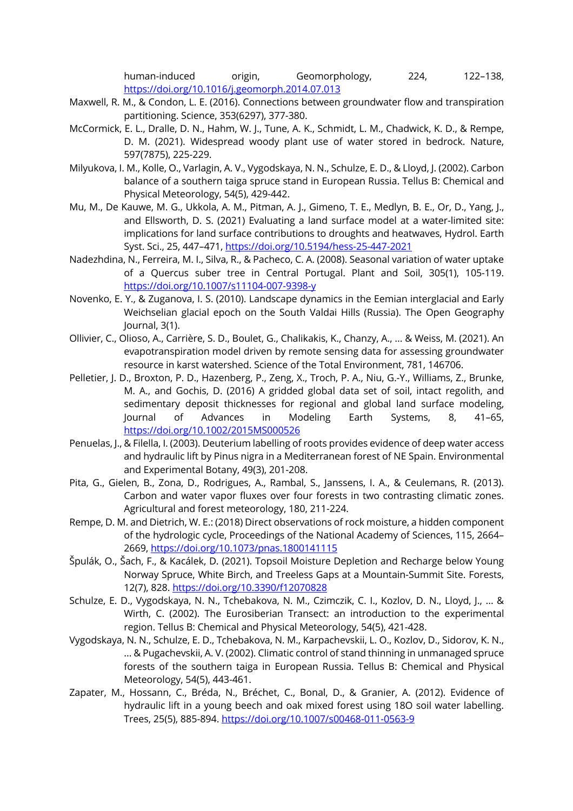human-induced origin, Geomorphology, 224, 122–138, https://doi.org/10.1016/j.geomorph.2014.07.013

- Maxwell, R. M., & Condon, L. E. (2016). Connections between groundwater flow and transpiration partitioning. Science, 353(6297), 377-380.
- McCormick, E. L., Dralle, D. N., Hahm, W. J., Tune, A. K., Schmidt, L. M., Chadwick, K. D., & Rempe, D. M. (2021). Widespread woody plant use of water stored in bedrock. Nature, 597(7875), 225-229.
- Milyukova, I. M., Kolle, O., Varlagin, A. V., Vygodskaya, N. N., Schulze, E. D., & Lloyd, J. (2002). Carbon balance of a southern taiga spruce stand in European Russia. Tellus B: Chemical and Physical Meteorology, 54(5), 429-442.
- Mu, M., De Kauwe, M. G., Ukkola, A. M., Pitman, A. J., Gimeno, T. E., Medlyn, B. E., Or, D., Yang, J., and Ellsworth, D. S. (2021) Evaluating a land surface model at a water-limited site: implications for land surface contributions to droughts and heatwaves, Hydrol. Earth Syst. Sci., 25, 447–471, https://doi.org/10.5194/hess-25-447-2021
- Nadezhdina, N., Ferreira, M. I., Silva, R., & Pacheco, C. A. (2008). Seasonal variation of water uptake of a Quercus suber tree in Central Portugal. Plant and Soil, 305(1), 105-119. https://doi.org/10.1007/s11104-007-9398-y
- Novenko, E. Y., & Zuganova, I. S. (2010). Landscape dynamics in the Eemian interglacial and Early Weichselian glacial epoch on the South Valdai Hills (Russia). The Open Geography Journal, 3(1).
- Ollivier, C., Olioso, A., Carrière, S. D., Boulet, G., Chalikakis, K., Chanzy, A., ... & Weiss, M. (2021). An evapotranspiration model driven by remote sensing data for assessing groundwater resource in karst watershed. Science of the Total Environment, 781, 146706.
- Pelletier, J. D., Broxton, P. D., Hazenberg, P., Zeng, X., Troch, P. A., Niu, G.-Y., Williams, Z., Brunke, M. A., and Gochis, D. (2016) A gridded global data set of soil, intact regolith, and sedimentary deposit thicknesses for regional and global land surface modeling, Journal of Advances in Modeling Earth Systems, 8, 41–65, https://doi.org/10.1002/2015MS000526
- Penuelas, J., & Filella, I. (2003). Deuterium labelling of roots provides evidence of deep water access and hydraulic lift by Pinus nigra in a Mediterranean forest of NE Spain. Environmental and Experimental Botany, 49(3), 201-208.
- Pita, G., Gielen, B., Zona, D., Rodrigues, A., Rambal, S., Janssens, I. A., & Ceulemans, R. (2013). Carbon and water vapor fluxes over four forests in two contrasting climatic zones. Agricultural and forest meteorology, 180, 211-224.
- Rempe, D. M. and Dietrich, W. E.: (2018) Direct observations of rock moisture, a hidden component of the hydrologic cycle, Proceedings of the National Academy of Sciences, 115, 2664– 2669, https://doi.org/10.1073/pnas.1800141115
- Špulák, O., Šach, F., & Kacálek, D. (2021). Topsoil Moisture Depletion and Recharge below Young Norway Spruce, White Birch, and Treeless Gaps at a Mountain-Summit Site. Forests, 12(7), 828. https://doi.org/10.3390/f12070828
- Schulze, E. D., Vygodskaya, N. N., Tchebakova, N. M., Czimczik, C. I., Kozlov, D. N., Lloyd, J., ... & Wirth, C. (2002). The Eurosiberian Transect: an introduction to the experimental region. Tellus B: Chemical and Physical Meteorology, 54(5), 421-428.
- Vygodskaya, N. N., Schulze, E. D., Tchebakova, N. M., Karpachevskii, L. O., Kozlov, D., Sidorov, K. N., ... & Pugachevskii, A. V. (2002). Climatic control of stand thinning in unmanaged spruce forests of the southern taiga in European Russia. Tellus B: Chemical and Physical Meteorology, 54(5), 443-461.
- Zapater, M., Hossann, C., Bréda, N., Bréchet, C., Bonal, D., & Granier, A. (2012). Evidence of hydraulic lift in a young beech and oak mixed forest using 18O soil water labelling. Trees, 25(5), 885-894. https://doi.org/10.1007/s00468-011-0563-9